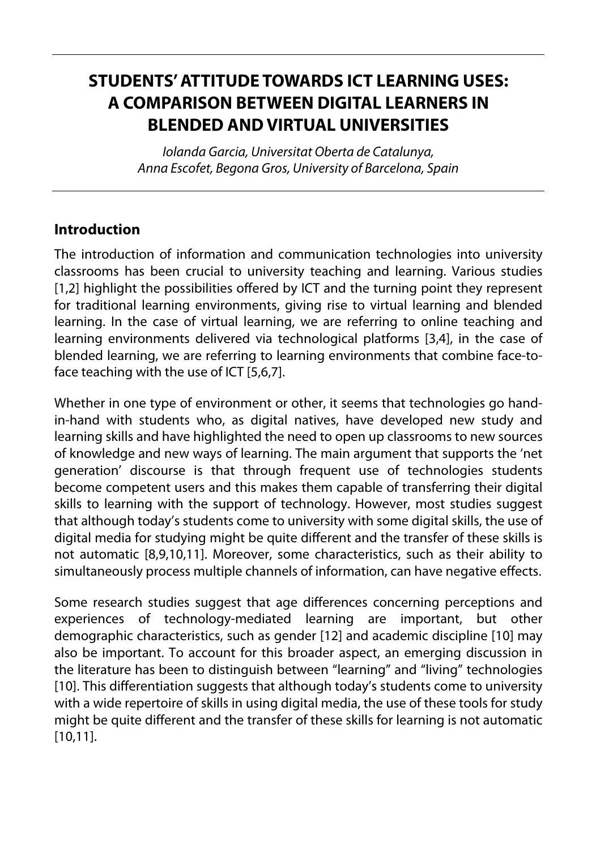# **STUDENTS' ATTITUDE TOWARDS ICT LEARNING USES: A COMPARISON BETWEEN DIGITAL LEARNERS IN BLENDED AND VIRTUAL UNIVERSITIES**

Iolanda Garcia, Universitat Oberta de Catalunya, Anna Escofet, Begona Gros, University of Barcelona, Spain

### **Introduction**

The introduction of information and communication technologies into university classrooms has been crucial to university teaching and learning. Various studies [1,2] highlight the possibilities offered by ICT and the turning point they represent for traditional learning environments, giving rise to virtual learning and blended learning. In the case of virtual learning, we are referring to online teaching and learning environments delivered via technological platforms [3,4], in the case of blended learning, we are referring to learning environments that combine face-toface teaching with the use of ICT [5,6,7].

Whether in one type of environment or other, it seems that technologies go handin-hand with students who, as digital natives, have developed new study and learning skills and have highlighted the need to open up classrooms to new sources of knowledge and new ways of learning. The main argument that supports the 'net generation' discourse is that through frequent use of technologies students become competent users and this makes them capable of transferring their digital skills to learning with the support of technology. However, most studies suggest that although today's students come to university with some digital skills, the use of digital media for studying might be quite different and the transfer of these skills is not automatic [8,9,10,11]. Moreover, some characteristics, such as their ability to simultaneously process multiple channels of information, can have negative effects.

Some research studies suggest that age differences concerning perceptions and experiences of technology-mediated learning are important, but other demographic characteristics, such as gender [12] and academic discipline [10] may also be important. To account for this broader aspect, an emerging discussion in the literature has been to distinguish between "learning" and "living" technologies [10]. This differentiation suggests that although today's students come to university with a wide repertoire of skills in using digital media, the use of these tools for study might be quite different and the transfer of these skills for learning is not automatic [10,11].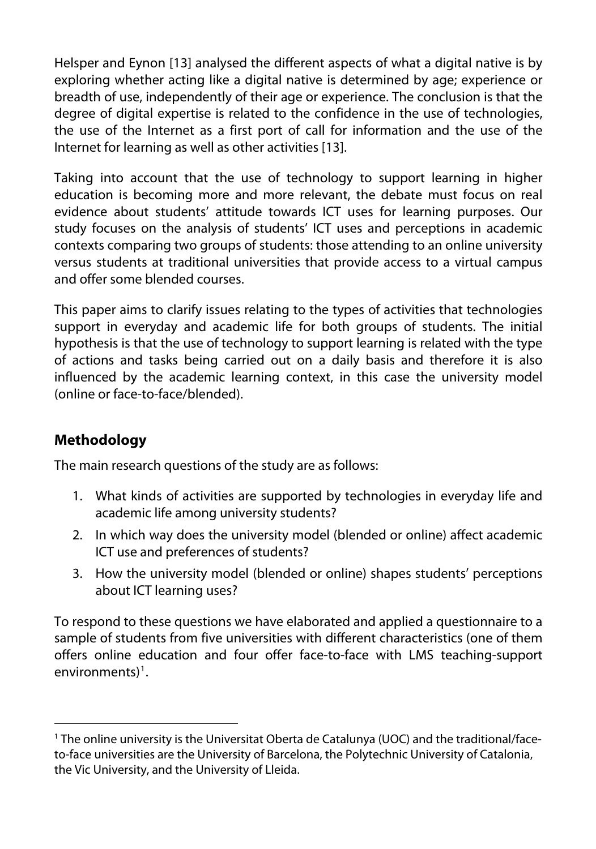Helsper and Eynon [13] analysed the different aspects of what a digital native is by exploring whether acting like a digital native is determined by age; experience or breadth of use, independently of their age or experience. The conclusion is that the degree of digital expertise is related to the confidence in the use of technologies, the use of the Internet as a first port of call for information and the use of the Internet for learning as well as other activities [13].

Taking into account that the use of technology to support learning in higher education is becoming more and more relevant, the debate must focus on real evidence about students' attitude towards ICT uses for learning purposes. Our study focuses on the analysis of students' ICT uses and perceptions in academic contexts comparing two groups of students: those attending to an online university versus students at traditional universities that provide access to a virtual campus and offer some blended courses.

This paper aims to clarify issues relating to the types of activities that technologies support in everyday and academic life for both groups of students. The initial hypothesis is that the use of technology to support learning is related with the type of actions and tasks being carried out on a daily basis and therefore it is also influenced by the academic learning context, in this case the university model (online or face-to-face/blended).

# **Methodology**

 $\overline{a}$ 

The main research questions of the study are as follows:

- 1. What kinds of activities are supported by technologies in everyday life and academic life among university students?
- 2. In which way does the university model (blended or online) affect academic ICT use and preferences of students?
- 3. How the university model (blended or online) shapes students' perceptions about ICT learning uses?

To respond to these questions we have elaborated and applied a questionnaire to a sample of students from five universities with different characteristics (one of them offers online education and four offer face-to-face with LMS teaching-support environments)<sup>[1](#page-1-0)</sup>.

<span id="page-1-0"></span><sup>1</sup> The online university is the Universitat Oberta de Catalunya (UOC) and the traditional/faceto-face universities are the University of Barcelona, the Polytechnic University of Catalonia, the Vic University, and the University of Lleida.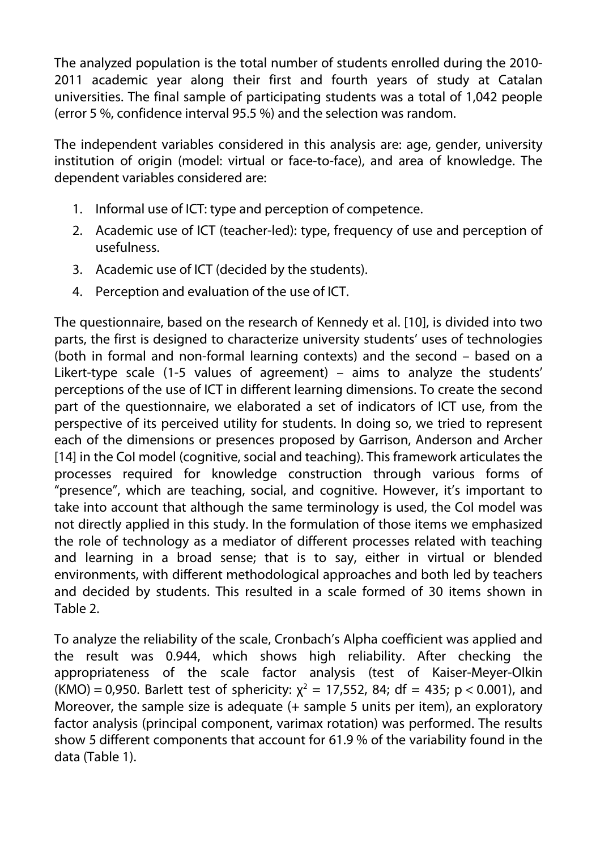The analyzed population is the total number of students enrolled during the 2010- 2011 academic year along their first and fourth years of study at Catalan universities. The final sample of participating students was a total of 1,042 people (error 5 %, confidence interval 95.5 %) and the selection was random.

The independent variables considered in this analysis are: age, gender, university institution of origin (model: virtual or face-to-face), and area of knowledge. The dependent variables considered are:

- 1. Informal use of ICT: type and perception of competence.
- 2. Academic use of ICT (teacher-led): type, frequency of use and perception of usefulness.
- 3. Academic use of ICT (decided by the students).
- 4. Perception and evaluation of the use of ICT.

The questionnaire, based on the research of Kennedy et al. [10], is divided into two parts, the first is designed to characterize university students' uses of technologies (both in formal and non-formal learning contexts) and the second – based on a Likert-type scale (1-5 values of agreement) – aims to analyze the students' perceptions of the use of ICT in different learning dimensions. To create the second part of the questionnaire, we elaborated a set of indicators of ICT use, from the perspective of its perceived utility for students. In doing so, we tried to represent each of the dimensions or presences proposed by Garrison, Anderson and Archer [14] in the CoI model (cognitive, social and teaching). This framework articulates the processes required for knowledge construction through various forms of "presence", which are teaching, social, and cognitive. However, it's important to take into account that although the same terminology is used, the CoI model was not directly applied in this study. In the formulation of those items we emphasized the role of technology as a mediator of different processes related with teaching and learning in a broad sense; that is to say, either in virtual or blended environments, with different methodological approaches and both led by teachers and decided by students. This resulted in a scale formed of 30 items shown in Table 2.

To analyze the reliability of the scale, Cronbach's Alpha coefficient was applied and the result was 0.944, which shows high reliability. After checking the appropriateness of the scale factor analysis (test of Kaiser-Meyer-Olkin (KMO) = 0,950. Barlett test of sphericity:  $\chi^2$  = 17,552, 84; df = 435; p < 0.001), and Moreover, the sample size is adequate (+ sample 5 units per item), an exploratory factor analysis (principal component, varimax rotation) was performed. The results show 5 different components that account for 61.9 % of the variability found in the data (Table 1).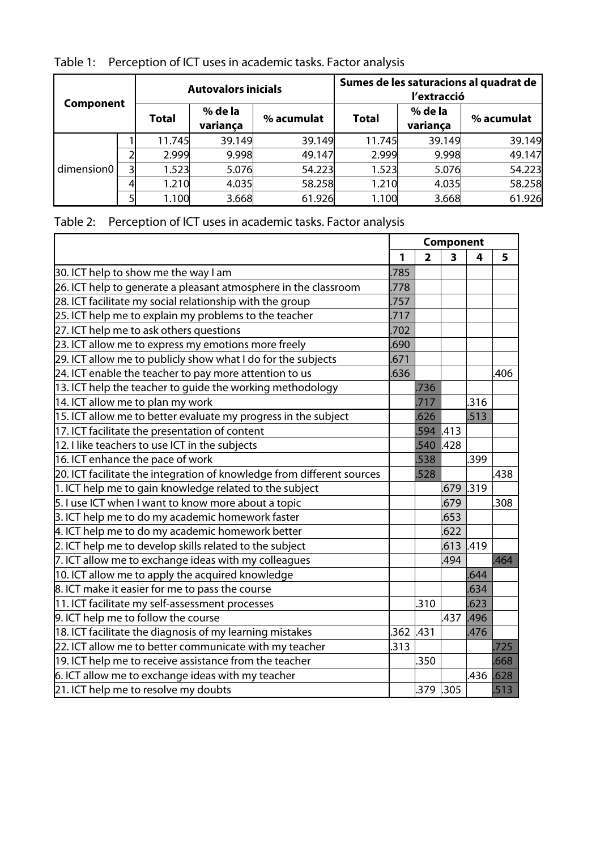| Table 1: Perception of ICT uses in academic tasks. Factor analysis |  |
|--------------------------------------------------------------------|--|
|                                                                    |  |

| Component  |   |        | <b>Autovalors inicials</b> |            |              | l'extracció         | Sumes de les saturacions al quadrat de |
|------------|---|--------|----------------------------|------------|--------------|---------------------|----------------------------------------|
|            |   | Total  | % de la<br>variança        | % acumulat | <b>Total</b> | % de la<br>variança | % acumulat                             |
| dimension0 |   | 11.745 | 39.149                     | 39.149     | 11.745       | 39.149              | 39.149                                 |
|            |   | 2.999  | 9.998                      | 49.147     | 2.999        | 9.998               | 49.147                                 |
|            | 3 | 1.523  | 5.076                      | 54.223     | 1.523        | 5.076               | 54.223                                 |
|            |   | 1.210  | 4.035                      | 58.258     | 1.210        | 4.035               | 58.258                                 |
|            |   | 1.100  | 3.668                      | 61.926     | 1.100        | 3.668               | 61.926                                 |

|  |  |  | Table 2: Perception of ICT uses in academic tasks. Factor analysis |  |
|--|--|--|--------------------------------------------------------------------|--|
|--|--|--|--------------------------------------------------------------------|--|

|                                                                        | Component |                |      |       |      |
|------------------------------------------------------------------------|-----------|----------------|------|-------|------|
|                                                                        | 1         | $\overline{2}$ | 3    | 4     | 5    |
| 30. ICT help to show me the way I am                                   | .785      |                |      |       |      |
| 26. ICT help to generate a pleasant atmosphere in the classroom        | .778      |                |      |       |      |
| 28. ICT facilitate my social relationship with the group               | 757       |                |      |       |      |
| 25. ICT help me to explain my problems to the teacher                  | .717      |                |      |       |      |
| 27. ICT help me to ask others questions                                | 702       |                |      |       |      |
| 23. ICT allow me to express my emotions more freely                    | .690      |                |      |       |      |
| 29. ICT allow me to publicly show what I do for the subjects           | 671       |                |      |       |      |
| 24. ICT enable the teacher to pay more attention to us                 | 636       |                |      |       | .406 |
| 13. ICT help the teacher to guide the working methodology              |           | .736           |      |       |      |
| 14. ICT allow me to plan my work                                       |           | .717           |      | .316  |      |
| 15. ICT allow me to better evaluate my progress in the subject         |           | 626            |      | .513  |      |
| 17. ICT facilitate the presentation of content                         |           | 594            | .413 |       |      |
| 12. I like teachers to use ICT in the subjects                         |           | .540           | .428 |       |      |
| 16. ICT enhance the pace of work                                       |           | 538            |      | .399  |      |
| 20. ICT facilitate the integration of knowledge from different sources |           | .528           |      |       | .438 |
| 1. ICT help me to gain knowledge related to the subject                |           |                | .679 | l.319 |      |
| 5. I use ICT when I want to know more about a topic                    |           |                | .679 |       | 308  |
| 3. ICT help me to do my academic homework faster                       |           |                | .653 |       |      |
| 4. ICT help me to do my academic homework better                       |           |                | .622 |       |      |
| 2. ICT help me to develop skills related to the subject                |           |                | .613 | l.419 |      |
| 7. ICT allow me to exchange ideas with my colleagues                   |           |                | .494 |       | .464 |
| 10. ICT allow me to apply the acquired knowledge                       |           |                |      | .644  |      |
| 8. ICT make it easier for me to pass the course                        |           |                |      | .634  |      |
| 11. ICT facilitate my self-assessment processes                        |           | .310           |      | .623  |      |
| 9. ICT help me to follow the course                                    |           |                | .437 | .496  |      |
| 18. ICT facilitate the diagnosis of my learning mistakes               | .362 .431 |                |      | .476  |      |
| 22. ICT allow me to better communicate with my teacher                 | 313       |                |      |       | .725 |
| 19. ICT help me to receive assistance from the teacher                 |           | .350           |      |       | .668 |
| 6. ICT allow me to exchange ideas with my teacher                      |           |                |      | .436  | .628 |
| 21. ICT help me to resolve my doubts                                   |           | $.379$ .305    |      |       | .513 |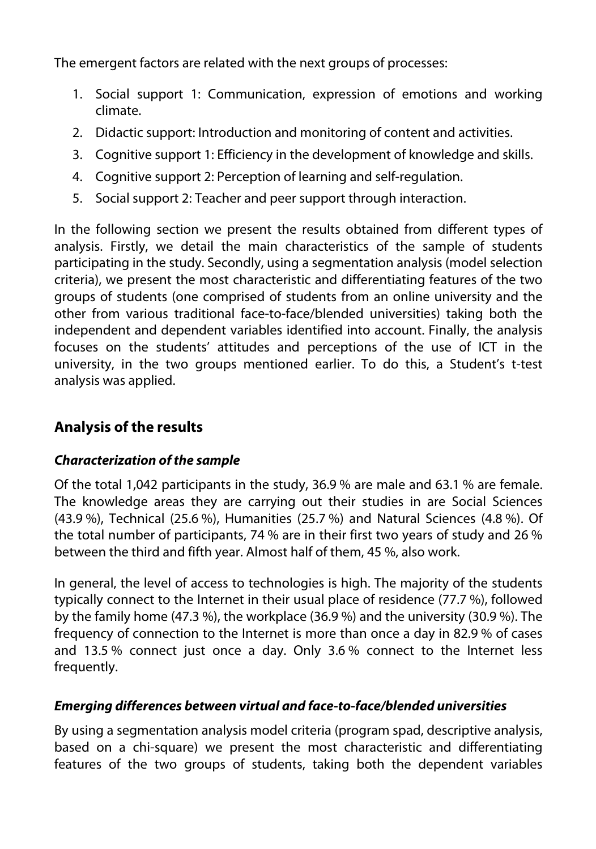The emergent factors are related with the next groups of processes:

- 1. Social support 1: Communication, expression of emotions and working climate.
- 2. Didactic support: Introduction and monitoring of content and activities.
- 3. Cognitive support 1: Efficiency in the development of knowledge and skills.
- 4. Cognitive support 2: Perception of learning and self-regulation.
- 5. Social support 2: Teacher and peer support through interaction.

In the following section we present the results obtained from different types of analysis. Firstly, we detail the main characteristics of the sample of students participating in the study. Secondly, using a segmentation analysis (model selection criteria), we present the most characteristic and differentiating features of the two groups of students (one comprised of students from an online university and the other from various traditional face-to-face/blended universities) taking both the independent and dependent variables identified into account. Finally, the analysis focuses on the students' attitudes and perceptions of the use of ICT in the university, in the two groups mentioned earlier. To do this, a Student's t-test analysis was applied.

# **Analysis of the results**

# **Characterization of the sample**

Of the total 1,042 participants in the study, 36.9 % are male and 63.1 % are female. The knowledge areas they are carrying out their studies in are Social Sciences (43.9 %), Technical (25.6 %), Humanities (25.7 %) and Natural Sciences (4.8 %). Of the total number of participants, 74 % are in their first two years of study and 26 % between the third and fifth year. Almost half of them, 45 %, also work.

In general, the level of access to technologies is high. The majority of the students typically connect to the Internet in their usual place of residence (77.7 %), followed by the family home (47.3 %), the workplace (36.9 %) and the university (30.9 %). The frequency of connection to the Internet is more than once a day in 82.9 % of cases and 13.5 % connect just once a day. Only 3.6 % connect to the Internet less frequently.

# **Emerging differences between virtual and face-to-face/blended universities**

By using a segmentation analysis model criteria (program spad, descriptive analysis, based on a chi-square) we present the most characteristic and differentiating features of the two groups of students, taking both the dependent variables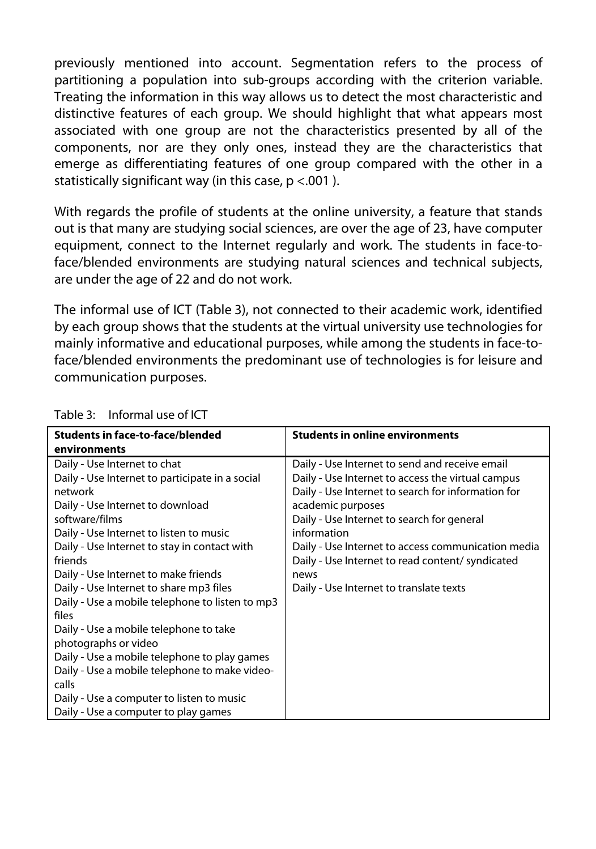previously mentioned into account. Segmentation refers to the process of partitioning a population into sub-groups according with the criterion variable. Treating the information in this way allows us to detect the most characteristic and distinctive features of each group. We should highlight that what appears most associated with one group are not the characteristics presented by all of the components, nor are they only ones, instead they are the characteristics that emerge as differentiating features of one group compared with the other in a statistically significant way (in this case,  $p < .001$ ).

With regards the profile of students at the online university, a feature that stands out is that many are studying social sciences, are over the age of 23, have computer equipment, connect to the Internet regularly and work. The students in face-toface/blended environments are studying natural sciences and technical subjects, are under the age of 22 and do not work.

The informal use of ICT (Table 3), not connected to their academic work, identified by each group shows that the students at the virtual university use technologies for mainly informative and educational purposes, while among the students in face-toface/blended environments the predominant use of technologies is for leisure and communication purposes.

| <b>Students in face-to-face/blended</b>         | <b>Students in online environments</b>             |
|-------------------------------------------------|----------------------------------------------------|
| environments                                    |                                                    |
| Daily - Use Internet to chat                    | Daily - Use Internet to send and receive email     |
| Daily - Use Internet to participate in a social | Daily - Use Internet to access the virtual campus  |
| network                                         | Daily - Use Internet to search for information for |
| Daily - Use Internet to download                | academic purposes                                  |
| software/films                                  | Daily - Use Internet to search for general         |
| Daily - Use Internet to listen to music         | information                                        |
| Daily - Use Internet to stay in contact with    | Daily - Use Internet to access communication media |
| friends                                         | Daily - Use Internet to read content/syndicated    |
| Daily - Use Internet to make friends            | news                                               |
| Daily - Use Internet to share mp3 files         | Daily - Use Internet to translate texts            |
| Daily - Use a mobile telephone to listen to mp3 |                                                    |
| files                                           |                                                    |
| Daily - Use a mobile telephone to take          |                                                    |
| photographs or video                            |                                                    |
| Daily - Use a mobile telephone to play games    |                                                    |
| Daily - Use a mobile telephone to make video-   |                                                    |
| calls                                           |                                                    |
| Daily - Use a computer to listen to music       |                                                    |
| Daily - Use a computer to play games            |                                                    |

#### Table 3: Informal use of ICT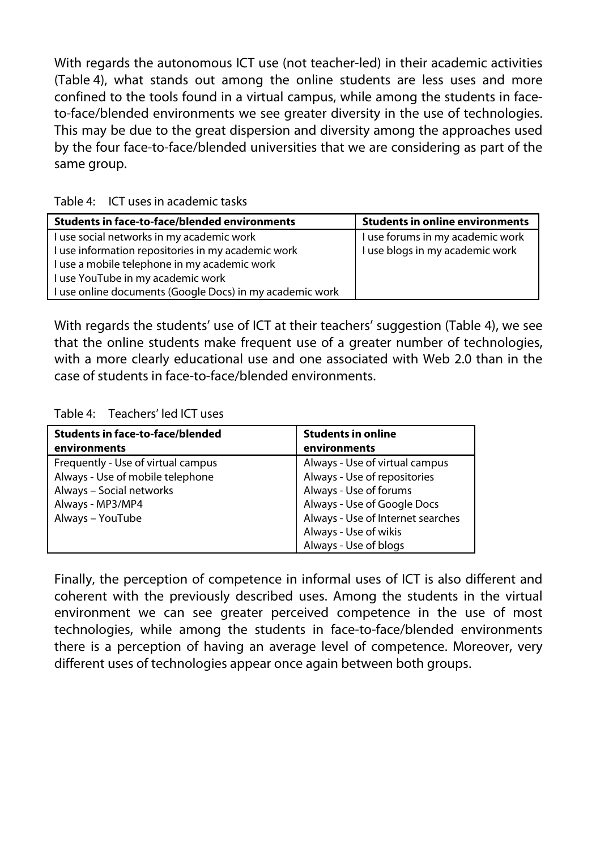With regards the autonomous ICT use (not teacher-led) in their academic activities (Table 4), what stands out among the online students are less uses and more confined to the tools found in a virtual campus, while among the students in faceto-face/blended environments we see greater diversity in the use of technologies. This may be due to the great dispersion and diversity among the approaches used by the four face-to-face/blended universities that we are considering as part of the same group.

| <b>Students in face-to-face/blended environments</b>     | <b>Students in online environments</b> |
|----------------------------------------------------------|----------------------------------------|
| I use social networks in my academic work                | I use forums in my academic work       |
| I use information repositories in my academic work       | I use blogs in my academic work        |
| I use a mobile telephone in my academic work             |                                        |
| I use YouTube in my academic work                        |                                        |
| I use online documents (Google Docs) in my academic work |                                        |

Table 4: ICT uses in academic tasks

With regards the students' use of ICT at their teachers' suggestion (Table 4), we see that the online students make frequent use of a greater number of technologies, with a more clearly educational use and one associated with Web 2.0 than in the case of students in face-to-face/blended environments.

Table 4: Teachers' led ICT uses

| <b>Students in face-to-face/blended</b> | <b>Students in online</b>         |  |  |
|-----------------------------------------|-----------------------------------|--|--|
| environments                            | environments                      |  |  |
| Frequently - Use of virtual campus      | Always - Use of virtual campus    |  |  |
| Always - Use of mobile telephone        | Always - Use of repositories      |  |  |
| Always - Social networks                | Always - Use of forums            |  |  |
| Always - MP3/MP4                        | Always - Use of Google Docs       |  |  |
| Always - YouTube                        | Always - Use of Internet searches |  |  |
|                                         | Always - Use of wikis             |  |  |
|                                         | Always - Use of blogs             |  |  |

Finally, the perception of competence in informal uses of ICT is also different and coherent with the previously described uses. Among the students in the virtual environment we can see greater perceived competence in the use of most technologies, while among the students in face-to-face/blended environments there is a perception of having an average level of competence. Moreover, very different uses of technologies appear once again between both groups.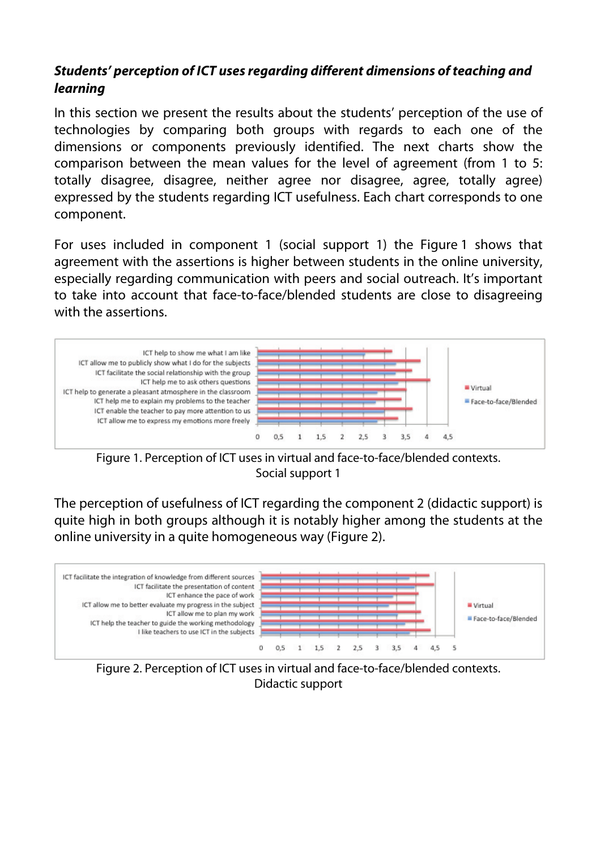### **Students' perception of ICT uses regarding different dimensions of teaching and learning**

In this section we present the results about the students' perception of the use of technologies by comparing both groups with regards to each one of the dimensions or components previously identified. The next charts show the comparison between the mean values for the level of agreement (from 1 to 5: totally disagree, disagree, neither agree nor disagree, agree, totally agree) expressed by the students regarding ICT usefulness. Each chart corresponds to one component.

For uses included in component 1 (social support 1) the Figure 1 shows that agreement with the assertions is higher between students in the online university, especially regarding communication with peers and social outreach. It's important to take into account that face-to-face/blended students are close to disagreeing with the assertions.



Figure 1. Perception of ICT uses in virtual and face-to-face/blended contexts. Social support 1

The perception of usefulness of ICT regarding the component 2 (didactic support) is quite high in both groups although it is notably higher among the students at the online university in a quite homogeneous way (Figure 2).



Figure 2. Perception of ICT uses in virtual and face-to-face/blended contexts. Didactic support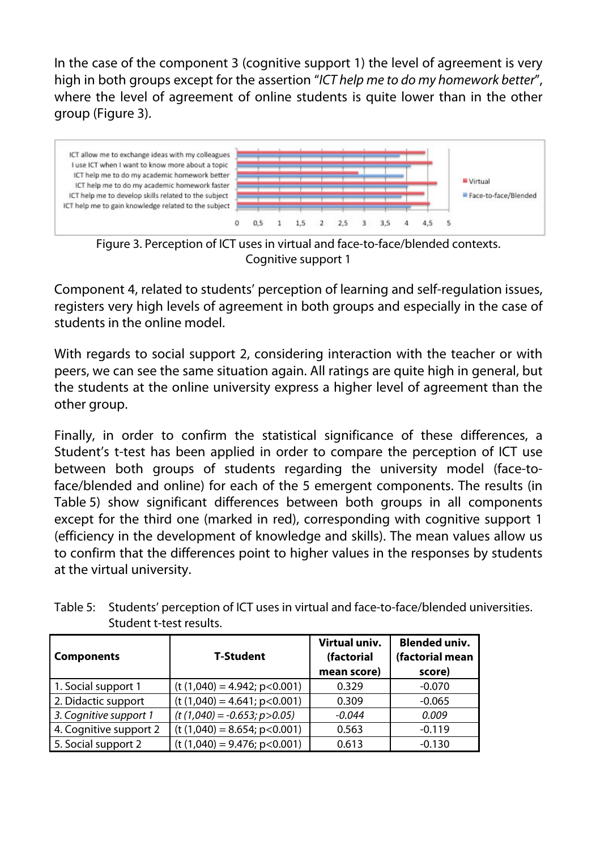In the case of the component 3 (cognitive support 1) the level of agreement is very high in both groups except for the assertion "ICT help me to do my homework better", where the level of agreement of online students is quite lower than in the other group (Figure 3).



Figure 3. Perception of ICT uses in virtual and face-to-face/blended contexts. Cognitive support 1

Component 4, related to students' perception of learning and self-regulation issues, registers very high levels of agreement in both groups and especially in the case of students in the online model.

With regards to social support 2, considering interaction with the teacher or with peers, we can see the same situation again. All ratings are quite high in general, but the students at the online university express a higher level of agreement than the other group.

Finally, in order to confirm the statistical significance of these differences, a Student's t-test has been applied in order to compare the perception of ICT use between both groups of students regarding the university model (face-toface/blended and online) for each of the 5 emergent components. The results (in Table 5) show significant differences between both groups in all components except for the third one (marked in red), corresponding with cognitive support 1 (efficiency in the development of knowledge and skills). The mean values allow us to confirm that the differences point to higher values in the responses by students at the virtual university.

| <b>Components</b>      | <b>T-Student</b>                 | Virtual univ.<br>(factorial<br>mean score) | <b>Blended univ.</b><br>(factorial mean<br>score) |
|------------------------|----------------------------------|--------------------------------------------|---------------------------------------------------|
| 1. Social support 1    | $(t (1,040) = 4.942; p<0.001)$   | 0.329                                      | $-0.070$                                          |
| 2. Didactic support    | $(t (1,040) = 4.641; p<0.001)$   | 0.309                                      | $-0.065$                                          |
| 3. Cognitive support 1 | $(t (1,040) = -0.653; p > 0.05)$ | $-0.044$                                   | 0.009                                             |
| 4. Cognitive support 2 | $(t (1,040) = 8.654; p<0.001)$   | 0.563                                      | $-0.119$                                          |
| 5. Social support 2    | $(t (1,040) = 9.476; p < 0.001)$ | 0.613                                      | $-0.130$                                          |

Table 5: Students' perception of ICT uses in virtual and face-to-face/blended universities. Student t-test results.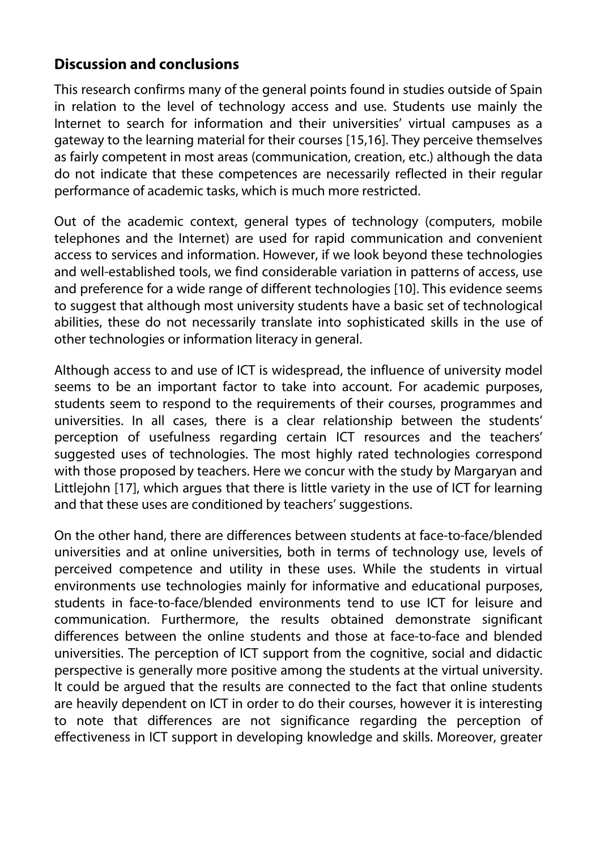### **Discussion and conclusions**

This research confirms many of the general points found in studies outside of Spain in relation to the level of technology access and use. Students use mainly the Internet to search for information and their universities' virtual campuses as a gateway to the learning material for their courses [15,16]. They perceive themselves as fairly competent in most areas (communication, creation, etc.) although the data do not indicate that these competences are necessarily reflected in their regular performance of academic tasks, which is much more restricted.

Out of the academic context, general types of technology (computers, mobile telephones and the Internet) are used for rapid communication and convenient access to services and information. However, if we look beyond these technologies and well-established tools, we find considerable variation in patterns of access, use and preference for a wide range of different technologies [10]. This evidence seems to suggest that although most university students have a basic set of technological abilities, these do not necessarily translate into sophisticated skills in the use of other technologies or information literacy in general.

Although access to and use of ICT is widespread, the influence of university model seems to be an important factor to take into account. For academic purposes, students seem to respond to the requirements of their courses, programmes and universities. In all cases, there is a clear relationship between the students' perception of usefulness regarding certain ICT resources and the teachers' suggested uses of technologies. The most highly rated technologies correspond with those proposed by teachers. Here we concur with the study by Margaryan and Littlejohn [17], which argues that there is little variety in the use of ICT for learning and that these uses are conditioned by teachers' suggestions.

On the other hand, there are differences between students at face-to-face/blended universities and at online universities, both in terms of technology use, levels of perceived competence and utility in these uses. While the students in virtual environments use technologies mainly for informative and educational purposes, students in face-to-face/blended environments tend to use ICT for leisure and communication. Furthermore, the results obtained demonstrate significant differences between the online students and those at face-to-face and blended universities. The perception of ICT support from the cognitive, social and didactic perspective is generally more positive among the students at the virtual university. It could be argued that the results are connected to the fact that online students are heavily dependent on ICT in order to do their courses, however it is interesting to note that differences are not significance regarding the perception of effectiveness in ICT support in developing knowledge and skills. Moreover, greater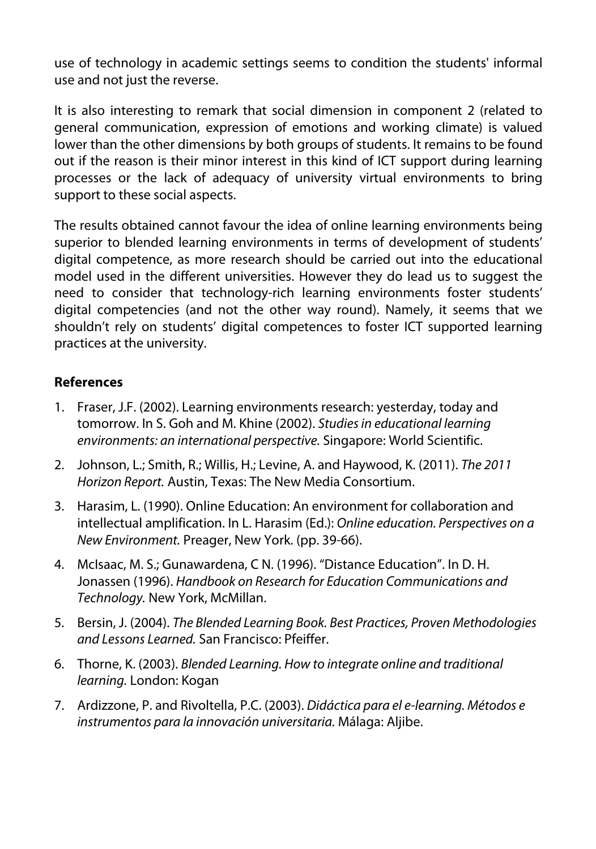use of technology in academic settings seems to condition the students' informal use and not just the reverse.

It is also interesting to remark that social dimension in component 2 (related to general communication, expression of emotions and working climate) is valued lower than the other dimensions by both groups of students. It remains to be found out if the reason is their minor interest in this kind of ICT support during learning processes or the lack of adequacy of university virtual environments to bring support to these social aspects.

The results obtained cannot favour the idea of online learning environments being superior to blended learning environments in terms of development of students' digital competence, as more research should be carried out into the educational model used in the different universities. However they do lead us to suggest the need to consider that technology-rich learning environments foster students' digital competencies (and not the other way round). Namely, it seems that we shouldn't rely on students' digital competences to foster ICT supported learning practices at the university.

### **References**

- 1. Fraser, J.F. (2002). Learning environments research: yesterday, today and tomorrow. In S. Goh and M. Khine (2002). Studies in educational learning environments: an international perspective. Singapore: World Scientific.
- 2. Johnson, L.; Smith, R.; Willis, H.; Levine, A. and Haywood, K. (2011). The 2011 Horizon Report. Austin, Texas: The New Media Consortium.
- 3. Harasim, L. (1990). Online Education: An environment for collaboration and intellectual amplification. In L. Harasim (Ed.): Online education. Perspectives on a New Environment. Preager, New York. (pp. 39-66).
- 4. McIsaac, M. S.; Gunawardena, C N. (1996). "Distance Education". In D. H. Jonassen (1996). Handbook on Research for Education Communications and Technology. New York, McMillan.
- 5. Bersin, J. (2004). The Blended Learning Book. Best Practices, Proven Methodologies and Lessons Learned. San Francisco: Pfeiffer.
- 6. Thorne, K. (2003). Blended Learning. How to integrate online and traditional learning. London: Kogan
- 7. Ardizzone, P. and Rivoltella, P.C. (2003). Didáctica para el e-learning. Métodos e instrumentos para la innovación universitaria. Málaga: Aljibe.